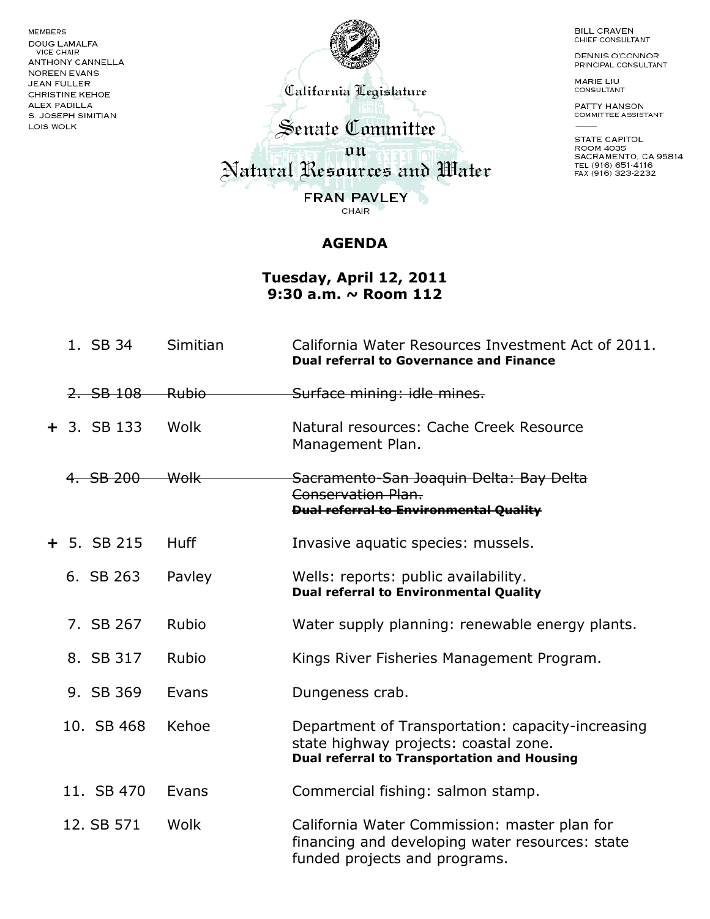MEMBERS **DOUG LAMALFA** VICE CHAIR **ANTHONY CANNELLA** NOREEN EVANS **JEAN FULLER** CHRISTINE KEHOE **ALEX PADILLA** S. JOSEPH SIMITIAN LOIS WOLK



California Legislature

**BILL CRAVEN** CHIEF CONSULTANT

DENNIS O'CONNOR PRINCIPAL CONSULTANT

MARIE LIU CONSULTANT

PATTY HANSON<br>COMMITTEE ASSISTANT

STATE CAPITOL<br>ROOM 4035 SACRAMENTO, CA 95814 TEL (916) 651-4116<br>FAX (916) 323-2232

Senate Committee an Natural Resources and Water **FRAN PAVLEY** ъ CHAIR

**AGENDA**

**Tuesday, April 12, 2011 9:30 a.m. ~ Room 112**

| 1. SB 34      | Simitian         | California Water Resources Investment Act of 2011.<br><b>Dual referral to Governance and Finance</b>                                             |
|---------------|------------------|--------------------------------------------------------------------------------------------------------------------------------------------------|
| $2.$ SB $108$ | <del>Rubio</del> | Surface mining: idle mines.                                                                                                                      |
| $+$ 3. SB 133 | Wolk             | Natural resources: Cache Creek Resource<br>Management Plan.                                                                                      |
| 4. SB 200     | <del>Wolk</del>  | Sacramento-San Joaquin Delta: Bay Delta<br>Conservation Plan.<br><b>Dual referral to Environmental Quality</b>                                   |
| $+ 5.$ SB 215 | <b>Huff</b>      | Invasive aquatic species: mussels.                                                                                                               |
| 6. SB 263     | Pavley           | Wells: reports: public availability.<br><b>Dual referral to Environmental Quality</b>                                                            |
| 7. SB 267     | Rubio            | Water supply planning: renewable energy plants.                                                                                                  |
| 8. SB 317     | Rubio            | Kings River Fisheries Management Program.                                                                                                        |
| 9. SB 369     | Evans            | Dungeness crab.                                                                                                                                  |
| 10. SB 468    | Kehoe            | Department of Transportation: capacity-increasing<br>state highway projects: coastal zone.<br><b>Dual referral to Transportation and Housing</b> |
| 11. SB 470    | Evans            | Commercial fishing: salmon stamp.                                                                                                                |
| 12. SB 571    | Wolk             | California Water Commission: master plan for<br>financing and developing water resources: state<br>funded projects and programs.                 |